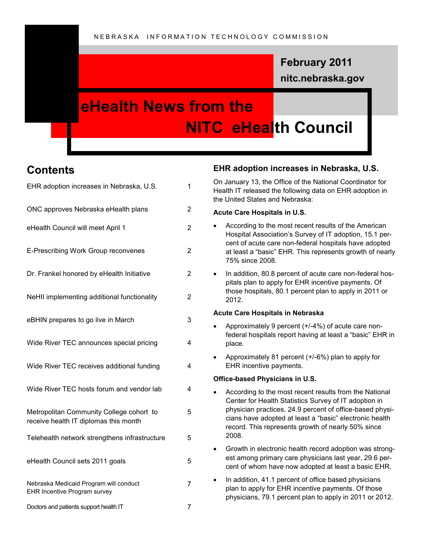## **nitc.nebraska.gov February 2011**

# **eHealth News from the NITC eHealth Council**

## **Contents**

| EHR adoption increases in Nebraska, U.S.                                          | 1 |
|-----------------------------------------------------------------------------------|---|
| ONC approves Nebraska eHealth plans                                               | 2 |
| eHealth Council will meet April 1                                                 | 2 |
| E-Prescribing Work Group reconvenes                                               | 2 |
| Dr. Frankel honored by eHealth Initiative                                         | 2 |
| NeHII implementing additional functionality                                       | 2 |
| eBHIN prepares to go live in March                                                | 3 |
| Wide River TEC announces special pricing                                          | 4 |
| Wide River TEC receives additional funding                                        | 4 |
| Wide River TEC hosts forum and vendor lab                                         | 4 |
| Metropolitan Community College cohort to<br>receive health IT diplomas this month | 5 |
| Telehealth network strengthens infrastructure                                     | 5 |
| eHealth Council sets 2011 goals                                                   | 5 |
| Nebraska Medicaid Program will conduct<br>EHR Incentive Program survey            | 7 |
| Doctors and patients support health IT                                            | 7 |

### **EHR adoption increases in Nebraska, U.S.**

On January 13, the Office of the National Coordinator for Health IT released the following data on EHR adoption in the United States and Nebraska:

#### **Acute Care Hospitals in U.S.**

- According to the most recent results of the American Hospital Association's Survey of IT adoption, 15.1 percent of acute care non-federal hospitals have adopted at least a "basic" EHR. This represents growth of nearly 75% since 2008.
- In addition, 80.8 percent of acute care non-federal hospitals plan to apply for EHR incentive payments. Of those hospitals, 80.1 percent plan to apply in 2011 or 2012.

#### **Acute Care Hospitals in Nebraska**

- Approximately 9 percent (+/-4%) of acute care nonfederal hospitals report having at least a "basic" EHR in place.
- Approximately 81 percent (+/-6%) plan to apply for EHR incentive payments.

#### **Office-based Physicians in U.S.**

- According to the most recent results from the National Center for Health Statistics Survey of IT adoption in physician practices, 24.9 percent of office-based physicians have adopted at least a "basic" electronic health record. This represents growth of nearly 50% since 2008.
- Growth in electronic health record adoption was strongest among primary care physicians last year, 29.6 percent of whom have now adopted at least a basic EHR.
- In addition, 41.1 percent of office based physicians plan to apply for EHR incentive payments. Of those physicians, 79.1 percent plan to apply in 2011 or 2012.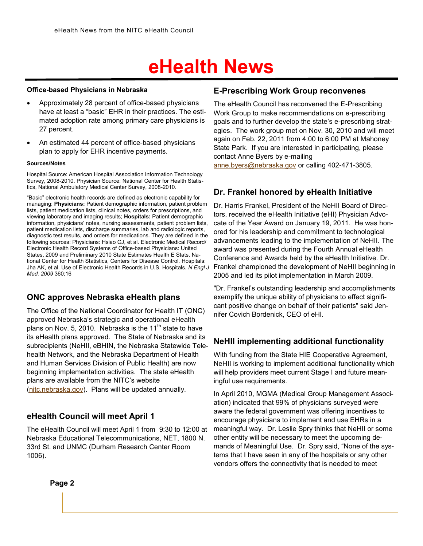#### **Office-based Physicians in Nebraska**

- Approximately 28 percent of office-based physicians have at least a "basic" EHR in their practices. The estimated adoption rate among primary care physicians is 27 percent.
- An estimated 44 percent of office-based physicians plan to apply for EHR incentive payments.

#### **Sources/Notes**

Hospital Source: American Hospital Association Information Technology Survey, 2008-2010. Physician Source: National Center for Health Statistics, National Ambulatory Medical Center Survey, 2008-2010.

"Basic" electronic health records are defined as electronic capability for managing: **Physicians:** Patient demographic information, patient problem lists, patient medication lists, clinical notes, orders for prescriptions, and viewing laboratory and imaging results; **Hospitals:** Patient demographic information, physicians' notes, nursing assessments, patient problem lists, patient medication lists, discharge summaries, lab and radiologic reports, diagnostic test results, and orders for medications. They are defined in the following sources: Physicians: Hsiao CJ, et al. Electronic Medical Record/ Electronic Health Record Systems of Office-based Physicians: United States, 2009 and Preliminary 2010 State Estimates Health E Stats. National Center for Health Statistics, Centers for Disease Control. Hospitals: Jha AK, et al. Use of Electronic Health Records in U.S. Hospitals. *N Engl J Med. 2009* 360;16

### **ONC approves Nebraska eHealth plans**

The Office of the National Coordinator for Health IT (ONC) approved Nebraska's strategic and operational eHealth plans on Nov. 5, 2010. Nebraska is the 11<sup>th</sup> state to have its eHealth plans approved. The State of Nebraska and its subrecipients (NeHII, eBHIN, the Nebraska Statewide Telehealth Network, and the Nebraska Department of Health and Human Services Division of Public Health) are now beginning implementation activities. The state eHealth plans are available from the NITC's website [\(nitc.nebraska.gov\).](http://www.nitc.nebraska.gov) Plans will be updated annually.

### **eHealth Council will meet April 1**

The eHealth Council will meet April 1 from 9:30 to 12:00 at Nebraska Educational Telecommunications, NET, 1800 N. 33rd St. and UNMC (Durham Research Center Room 1006).

#### **E-Prescribing Work Group reconvenes**

The eHealth Council has reconvened the E-Prescribing Work Group to make recommendations on e-prescribing goals and to further develop the state's e-prescribing strategies. The work group met on Nov. 30, 2010 and will meet again on Feb. 22, 2011 from 4:00 to 6:00 PM at Mahoney State Park. If you are interested in participating, please contact Anne Byers by e-mailing [anne.byers@nebraska.gov](mailto:anne.byers@nebraska.gov) or calling 402-471-3805.

### **Dr. Frankel honored by eHealth Initiative**

Dr. Harris Frankel, President of the NeHII Board of Directors, received the eHealth Initiative (eHI) Physician Advocate of the Year Award on January 19, 2011. He was honored for his leadership and commitment to technological advancements leading to the implementation of NeHII. The award was presented during the Fourth Annual eHealth Conference and Awards held by the eHealth Initiative. Dr. Frankel championed the development of NeHII beginning in 2005 and led its pilot implementation in March 2009.

"Dr. Frankel's outstanding leadership and accomplishments exemplify the unique ability of physicians to effect significant positive change on behalf of their patients" said Jennifer Covich Bordenick, CEO of eHI.

#### **NeHII implementing additional functionality**

With funding from the State HIE Cooperative Agreement, NeHII is working to implement additional functionality which will help providers meet current Stage I and future meaningful use requirements.

In April 2010, MGMA (Medical Group Management Association) indicated that 99% of physicians surveyed were aware the federal government was offering incentives to encourage physicians to implement and use EHRs in a meaningful way. Dr. Leslie Spry thinks that NeHII or some other entity will be necessary to meet the upcoming demands of Meaningful Use. Dr. Spry said, "None of the systems that I have seen in any of the hospitals or any other vendors offers the connectivity that is needed to meet

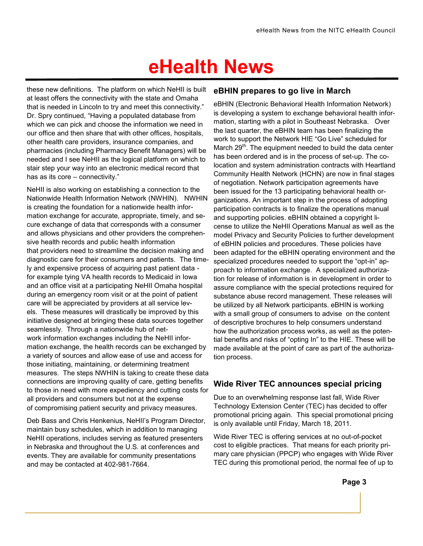these new definitions. The platform on which NeHII is built at least offers the connectivity with the state and Omaha that is needed in Lincoln to try and meet this connectivity." Dr. Spry continued, "Having a populated database from which we can pick and choose the information we need in our office and then share that with other offices, hospitals, other health care providers, insurance companies, and pharmacies (including Pharmacy Benefit Managers) will be needed and I see NeHII as the logical platform on which to stair step your way into an electronic medical record that has as its core – connectivity."

NeHII is also working on establishing a connection to the Nationwide Health Information Network (NWHIN). NWHIN is creating the foundation for a nationwide health information exchange for accurate, appropriate, timely, and secure exchange of data that corresponds with a consumer and allows physicians and other providers the comprehensive health records and public health information that providers need to streamline the decision making and diagnostic care for their consumers and patients. The timely and expensive process of acquiring past patient data for example tying VA health records to Medicaid in Iowa and an office visit at a participating NeHII Omaha hospital during an emergency room visit or at the point of patient care will be appreciated by providers at all service levels. These measures will drastically be improved by this initiative designed at bringing these data sources together seamlessly. Through a nationwide hub of network information exchanges including the NeHII information exchange, the health records can be exchanged by a variety of sources and allow ease of use and access for those initiating, maintaining, or determining treatment measures. The steps NWHIN is taking to create these data connections are improving quality of care, getting benefits to those in need with more expediency and cutting costs for all providers and consumers but not at the expense of compromising patient security and privacy measures.

Deb Bass and Chris Henkenius, NeHII's Program Director, maintain busy schedules, which in addition to managing NeHII operations, includes serving as featured presenters in Nebraska and throughout the U.S. at conferences and events. They are available for community presentations and may be contacted at 402-981-7664.

### **eBHIN prepares to go live in March**

eBHIN (Electronic Behavioral Health Information Network) is developing a system to exchange behavioral health information, starting with a pilot in Southeast Nebraska. Over the last quarter, the eBHIN team has been finalizing the work to support the Network HIE "Go Live" scheduled for March  $29<sup>th</sup>$ . The equipment needed to build the data center has been ordered and is in the process of set-up. The colocation and system administration contracts with Heartland Community Health Network (HCHN) are now in final stages of negotiation. Network participation agreements have been issued for the 13 participating behavioral health organizations. An important step in the process of adopting participation contracts is to finalize the operations manual and supporting policies. eBHIN obtained a copyright license to utilize the NeHII Operations Manual as well as the model Privacy and Security Policies to further development of eBHIN policies and procedures. These policies have been adapted for the eBHIN operating environment and the specialized procedures needed to support the "opt-in" approach to information exchange. A specialized authorization for release of information is in development in order to assure compliance with the special protections required for substance abuse record management. These releases will be utilized by all Network participants. eBHIN is working with a small group of consumers to advise on the content of descriptive brochures to help consumers understand how the authorization process works, as well as the potential benefits and risks of "opting In" to the HIE. These will be made available at the point of care as part of the authorization process.

### **Wide River TEC announces special pricing**

Due to an overwhelming response last fall, Wide River Technology Extension Center (TEC) has decided to offer promotional pricing again. This special promotional pricing is only available until Friday, March 18, 2011.

Wide River TEC is offering services at no out-of-pocket cost to eligible practices. That means for each priority primary care physician (PPCP) who engages with Wide River TEC during this promotional period, the normal fee of up to

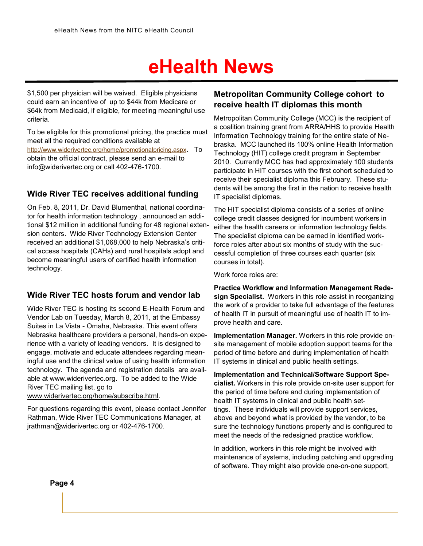\$1,500 per physician will be waived. Eligible physicians could earn an incentive of up to \$44k from Medicare or \$64k from Medicaid, if eligible, for meeting meaningful use criteria.

To be eligible for this promotional pricing, the practice must meet all the required conditions available at [http://www.widerivertec.org/home/promotionalpricing.aspx](http://www.widerivertec.org/home/promotionalpricing.asp). To obtain the official contract, please send an e-mail to [info@widerivertec.org](mailto:info@widerivertec.org) or call 402-476-1700.

### **Wide River TEC receives additional funding**

On Feb. 8, 2011, Dr. David Blumenthal, national coordinator for health information technology , announced an additional \$12 million in additional funding for 48 regional extension centers. Wide River Technology Extension Center received an additional \$1,068,000 to help Nebraska's critical access hospitals (CAHs) and rural hospitals adopt and become meaningful users of certified health information technology.

### **Wide River TEC hosts forum and vendor lab**

Wide River TEC is hosting its second E-Health Forum and Vendor Lab on Tuesday, March 8, 2011, at the Embassy Suites in La Vista - Omaha, Nebraska. This event offers Nebraska healthcare providers a personal, hands-on experience with a variety of leading vendors. It is designed to engage, motivate and educate attendees regarding meaningful use and the clinical value of using health information technology. The agenda and registration details are available at [www.widerivertec.org.](http://www.widerivertec.org) To be added to the Wide River TEC mailing list, go to [www.widerivertec.org/home/subscribe.html.](http://www.widerivertec.org/home/subscribe.html)

For questions regarding this event, please contact Jennifer Rathman, Wide River TEC Communications Manager, at [jrathman@widerivertec.org](mailto:jrathman@widerivertec.org) or 402-476-1700.

### **Metropolitan Community College cohort to receive health IT diplomas this month**

Metropolitan Community College (MCC) is the recipient of a coalition training grant from ARRA/HHS to provide Health Information Technology training for the entire state of Nebraska. MCC launched its 100% online Health Information Technology (HIT) college credit program in September 2010. Currently MCC has had approximately 100 students participate in HIT courses with the first cohort scheduled to receive their specialist diploma this February. These students will be among the first in the nation to receive health IT specialist diplomas.

The HIT specialist diploma consists of a series of online college credit classes designed for incumbent workers in either the health careers or information technology fields. The specialist diploma can be earned in identified workforce roles after about six months of study with the successful completion of three courses each quarter (six courses in total).

Work force roles are:

**Practice Workflow and Information Management Redesign Specialist.** Workers in this role assist in reorganizing the work of a provider to take full advantage of the features of health IT in pursuit of meaningful use of health IT to improve health and care.

**Implementation Manager.** Workers in this role provide onsite management of mobile adoption support teams for the period of time before and during implementation of health IT systems in clinical and public health settings.

**Implementation and Technical/Software Support Specialist.** Workers in this role provide on-site user support for the period of time before and during implementation of health IT systems in clinical and public health settings. These individuals will provide support services, above and beyond what is provided by the vendor, to be sure the technology functions properly and is configured to meet the needs of the redesigned practice workflow.

In addition, workers in this role might be involved with maintenance of systems, including patching and upgrading of software. They might also provide one-on-one support,

**Page 4**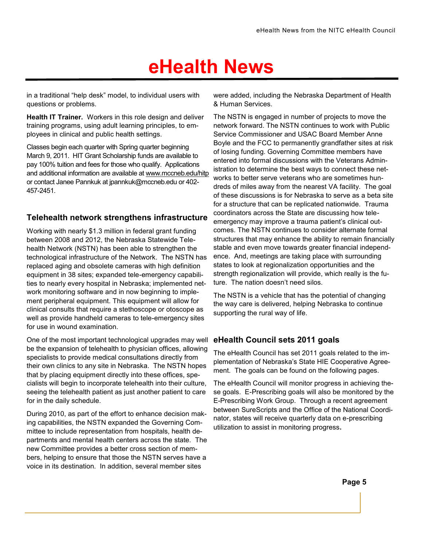in a traditional "help desk" model, to individual users with questions or problems.

**Health IT Trainer.** Workers in this role design and deliver training programs, using adult learning principles, to employees in clinical and public health settings.

Classes begin each quarter with Spring quarter beginning March 9, 2011. HIT Grant Scholarship funds are available to pay 100% tuition and fees for those who qualify. Applications and additional information are available at [www.mccneb.edu/hitp](http://www.mccneb.edu/hitp) or contact Janee Pannkuk at jpannkuk@mccneb.edu or 402- 457-2451.

### **Telehealth network strengthens infrastructure**

Working with nearly \$1.3 million in federal grant funding between 2008 and 2012, the Nebraska Statewide Telehealth Network (NSTN) has been able to strengthen the technological infrastructure of the Network. The NSTN has replaced aging and obsolete cameras with high definition equipment in 38 sites; expanded tele-emergency capabilities to nearly every hospital in Nebraska; implemented network monitoring software and in now beginning to implement peripheral equipment. This equipment will allow for clinical consults that require a stethoscope or otoscope as well as provide handheld cameras to tele-emergency sites for use in wound examination.

One of the most important technological upgrades may well be the expansion of telehealth to physician offices, allowing specialists to provide medical consultations directly from their own clinics to any site in Nebraska. The NSTN hopes that by placing equipment directly into these offices, specialists will begin to incorporate telehealth into their culture, seeing the telehealth patient as just another patient to care for in the daily schedule.

During 2010, as part of the effort to enhance decision making capabilities, the NSTN expanded the Governing Committee to include representation from hospitals, health departments and mental health centers across the state. The new Committee provides a better cross section of members, helping to ensure that those the NSTN serves have a voice in its destination. In addition, several member sites

were added, including the Nebraska Department of Health & Human Services.

The NSTN is engaged in number of projects to move the network forward. The NSTN continues to work with Public Service Commissioner and USAC Board Member Anne Boyle and the FCC to permanently grandfather sites at risk of losing funding. Governing Committee members have entered into formal discussions with the Veterans Administration to determine the best ways to connect these networks to better serve veterans who are sometimes hundreds of miles away from the nearest VA facility. The goal of these discussions is for Nebraska to serve as a beta site for a structure that can be replicated nationwide. Trauma coordinators across the State are discussing how teleemergency may improve a trauma patient's clinical outcomes. The NSTN continues to consider alternate formal structures that may enhance the ability to remain financially stable and even move towards greater financial independence. And, meetings are taking place with surrounding states to look at regionalization opportunities and the strength regionalization will provide, which really is the future. The nation doesn't need silos.

The NSTN is a vehicle that has the potential of changing the way care is delivered, helping Nebraska to continue supporting the rural way of life.

### **eHealth Council sets 2011 goals**

The eHealth Council has set 2011 goals related to the implementation of Nebraska's State HIE Cooperative Agreement. The goals can be found on the following pages.

The eHealth Council will monitor progress in achieving these goals. E-Prescribing goals will also be monitored by the E-Prescribing Work Group. Through a recent agreement between SureScripts and the Office of the National Coordinator, states will receive quarterly data on e-prescribing utilization to assist in monitoring progress**.**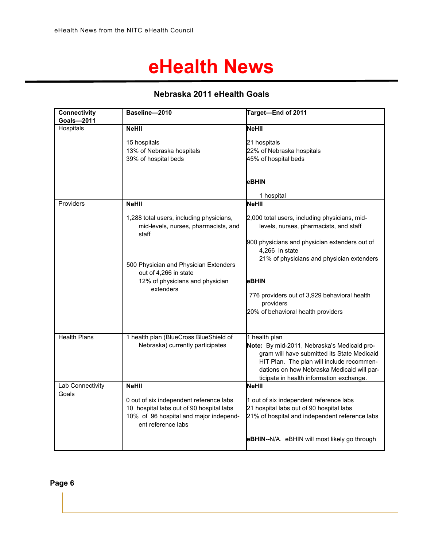### **Nebraska 2011 eHealth Goals**

| <b>Connectivity</b> | Baseline-2010                                | Target-End of 2011                             |
|---------------------|----------------------------------------------|------------------------------------------------|
| Goals-2011          |                                              |                                                |
| Hospitals           | <b>NeHII</b>                                 | NeHII                                          |
|                     | 15 hospitals                                 | 21 hospitals                                   |
|                     | 13% of Nebraska hospitals                    | 22% of Nebraska hospitals                      |
|                     | 39% of hospital beds                         | 45% of hospital beds                           |
|                     |                                              |                                                |
|                     |                                              |                                                |
|                     |                                              | eBHIN                                          |
|                     |                                              | 1 hospital                                     |
| Providers           | <b>NeHII</b>                                 | <b>NeHII</b>                                   |
|                     |                                              |                                                |
|                     | 1,288 total users, including physicians,     | 2,000 total users, including physicians, mid-  |
|                     | mid-levels, nurses, pharmacists, and         | levels, nurses, pharmacists, and staff         |
|                     | staff                                        |                                                |
|                     |                                              | 900 physicians and physician extenders out of  |
|                     |                                              | 4,266 in state                                 |
|                     |                                              | 21% of physicians and physician extenders      |
|                     | 500 Physician and Physician Extenders        |                                                |
|                     | out of 4,266 in state                        |                                                |
|                     | 12% of physicians and physician<br>extenders | eBHIN                                          |
|                     |                                              | 776 providers out of 3,929 behavioral health   |
|                     |                                              | providers                                      |
|                     |                                              | 20% of behavioral health providers             |
|                     |                                              |                                                |
|                     |                                              |                                                |
| <b>Health Plans</b> | 1 health plan (BlueCross BlueShield of       | 1 health plan                                  |
|                     | Nebraska) currently participates             | Note: By mid-2011, Nebraska's Medicaid pro-    |
|                     |                                              | gram will have submitted its State Medicaid    |
|                     |                                              | HIT Plan. The plan will include recommen-      |
|                     |                                              | dations on how Nebraska Medicaid will par-     |
|                     |                                              | ticipate in health information exchange.       |
| Lab Connectivity    | <b>NeHII</b>                                 | NeHII                                          |
| Goals               | 0 out of six independent reference labs      | 1 out of six independent reference labs        |
|                     | 10 hospital labs out of 90 hospital labs     | 21 hospital labs out of 90 hospital labs       |
|                     | 10% of 96 hospital and major independ-       | 21% of hospital and independent reference labs |
|                     | ent reference labs                           |                                                |
|                     |                                              |                                                |
|                     |                                              | eBHIN--N/A. eBHIN will most likely go through  |
|                     |                                              |                                                |

### **Page 6**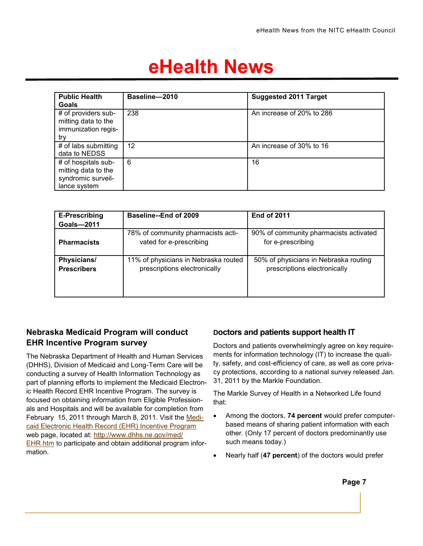| <b>Public Health</b><br>Goals                                                    | Baseline-2010 | <b>Suggested 2011 Target</b> |
|----------------------------------------------------------------------------------|---------------|------------------------------|
| # of providers sub-<br>mitting data to the<br>immunization regis-<br>try         | 238           | An increase of 20% to 286    |
| # of labs submitting<br>data to NEDSS                                            | 12            | An increase of 30% to 16     |
| # of hospitals sub-<br>mitting data to the<br>syndromic surveil-<br>lance system | 6             | 16                           |

| E-Prescribing<br><b>Goals-2011</b> | Baseline--End of 2009                                                | <b>End of 2011</b>                                                    |
|------------------------------------|----------------------------------------------------------------------|-----------------------------------------------------------------------|
| <b>Pharmacists</b>                 | 78% of community pharmacists acti-<br>vated for e-prescribing        | 90% of community pharmacists activated<br>for e-prescribing           |
| Physicians/<br><b>Prescribers</b>  | 11% of physicians in Nebraska routed<br>prescriptions electronically | 50% of physicians in Nebraska routing<br>prescriptions electronically |

### **Nebraska Medicaid Program will conduct EHR Incentive Program survey**

The Nebraska Department of Health and Human Services (DHHS), Division of Medicaid and Long-Term Care will be conducting a survey of Health Information Technology as part of planning efforts to implement the Medicaid Electronic Health Record EHR Incentive Program. The survey is focused on obtaining information from Eligible Professionals and Hospitals and will be available for completion from February 15, 2011 through March 8, 2011. Visit the [Medi](http://www.dhhs.ne.gov/med/EHR.htm)[caid Electronic Health Record \(EHR\) Incentive Program](http://www.dhhs.ne.gov/med/EHR.htm) web page, located at: [http://www.dhhs.ne.gov/med/](http://www.dhhs.ne.gov/med/EHR.htm) [EHR.htm](http://www.dhhs.ne.gov/med/EHR.htm) to participate and obtain additional program information.

### **Doctors and patients support health IT**

Doctors and patients overwhelmingly agree on key requirements for information technology (IT) to increase the quality, safety, and cost-efficiency of care, as well as core privacy protections, according to a national survey released Jan. 31, 2011 by the Markle Foundation.

The Markle Survey of Health in a Networked Life found that:

- Among the doctors, **74 percent** would prefer computerbased means of sharing patient information with each other. (Only 17 percent of doctors predominantly use such means today.)
- Nearly half (**47 percent**) of the doctors would prefer